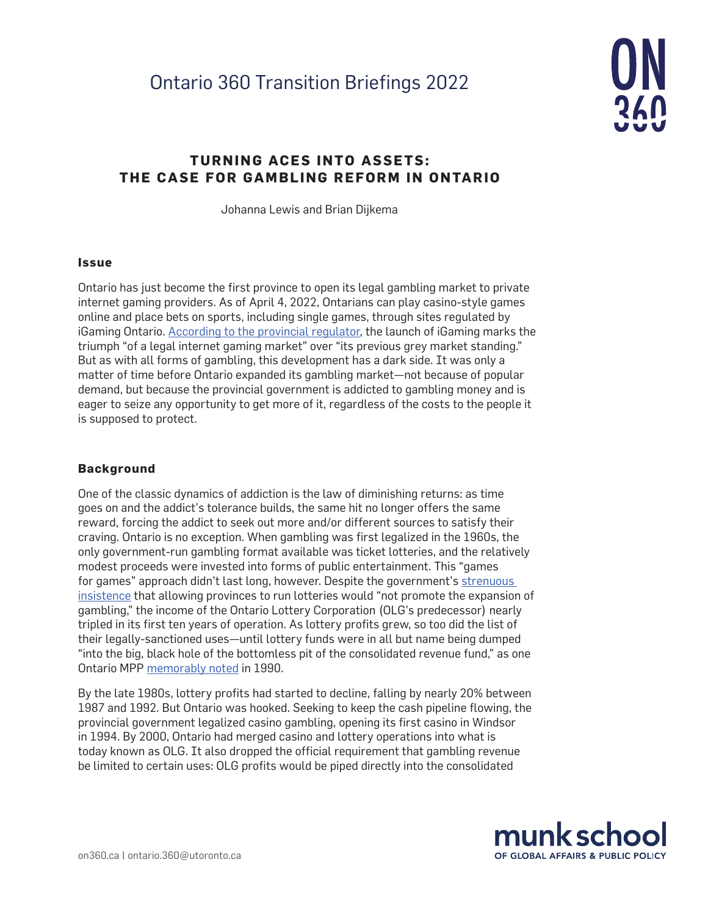

# **TURNING ACES INTO ASSETS: THE CASE FOR GAMBLING REFORM IN ONTARIO**

Johanna Lewis and Brian Dijkema

#### **Issue**

Ontario has just become the first province to open its legal gambling market to private internet gaming providers. As of April 4, 2022, Ontarians can play casino-style games online and place bets on sports, including single games, through sites regulated by iGaming Ontario. [According to the provincial regulator](https://igamingontario.ca/en/news/ontarios-new-igaming-market-live), the launch of iGaming marks the triumph "of a legal internet gaming market" over "its previous grey market standing." But as with all forms of gambling, this development has a dark side. It was only a matter of time before Ontario expanded its gambling market—not because of popular demand, but because the provincial government is addicted to gambling money and is eager to seize any opportunity to get more of it, regardless of the costs to the people it is supposed to protect.

### **Background**

One of the classic dynamics of addiction is the law of diminishing returns: as time goes on and the addict's tolerance builds, the same hit no longer offers the same reward, forcing the addict to seek out more and/or different sources to satisfy their craving. Ontario is no exception. When gambling was first legalized in the 1960s, the only government-run gambling format available was ticket lotteries, and the relatively modest proceeds were invested into forms of public entertainment. This "games for games" approach didn't last long, however. Despite the government's [strenuous](https://parl.canadiana.ca/view/oop.debates_HOC3301_06/379)  [insistence](https://parl.canadiana.ca/view/oop.debates_HOC3301_06/379) that allowing provinces to run lotteries would "not promote the expansion of gambling," the income of the Ontario Lottery Corporation (OLG's predecessor) nearly tripled in its first ten years of operation. As lottery profits grew, so too did the list of their legally-sanctioned uses—until lottery funds were in all but name being dumped "into the big, black hole of the bottomless pit of the consolidated revenue fund," as one Ontario MPP [memorably noted](https://www.ola.org/en/legislative-business/house-documents/parliament-34/session-2/1990-06-26/hansard) in 1990.

By the late 1980s, lottery profits had started to decline, falling by nearly 20% between 1987 and 1992. But Ontario was hooked. Seeking to keep the cash pipeline flowing, the provincial government legalized casino gambling, opening its first casino in Windsor in 1994. By 2000, Ontario had merged casino and lottery operations into what is today known as OLG. It also dropped the official requirement that gambling revenue be limited to certain uses: OLG profits would be piped directly into the consolidated

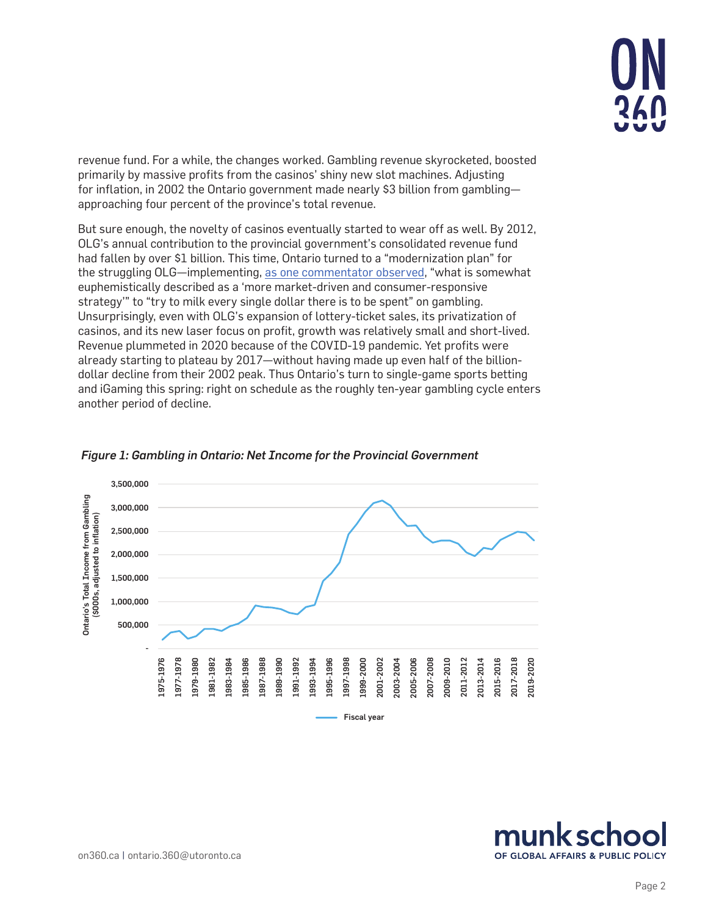

revenue fund. For a while, the changes worked. Gambling revenue skyrocketed, boosted primarily by massive profits from the casinos' shiny new slot machines. Adjusting for inflation, in 2002 the Ontario government made nearly \$3 billion from gambling approaching four percent of the province's total revenue.

But sure enough, the novelty of casinos eventually started to wear off as well. By 2012, OLG's annual contribution to the provincial government's consolidated revenue fund had fallen by over \$1 billion. This time, Ontario turned to a "modernization plan" for the struggling OLG-implementing, [as one commentator observed](https://www.theglobeandmail.com/news/politics/mcguinty-cant-afford-misgivings-about-gaming/article533504/), "what is somewhat euphemistically described as a 'more market-driven and consumer-responsive strategy'" to "try to milk every single dollar there is to be spent" on gambling. Unsurprisingly, even with OLG's expansion of lottery-ticket sales, its privatization of casinos, and its new laser focus on profit, growth was relatively small and short-lived. Revenue plummeted in 2020 because of the COVID-19 pandemic. Yet profits were already starting to plateau by 2017—without having made up even half of the billiondollar decline from their 2002 peak. Thus Ontario's turn to single-game sports betting and iGaming this spring: right on schedule as the roughly ten-year gambling cycle enters another period of decline.



*Figure 1: Gambling in Ontario: Net Income for the Provincial Government*

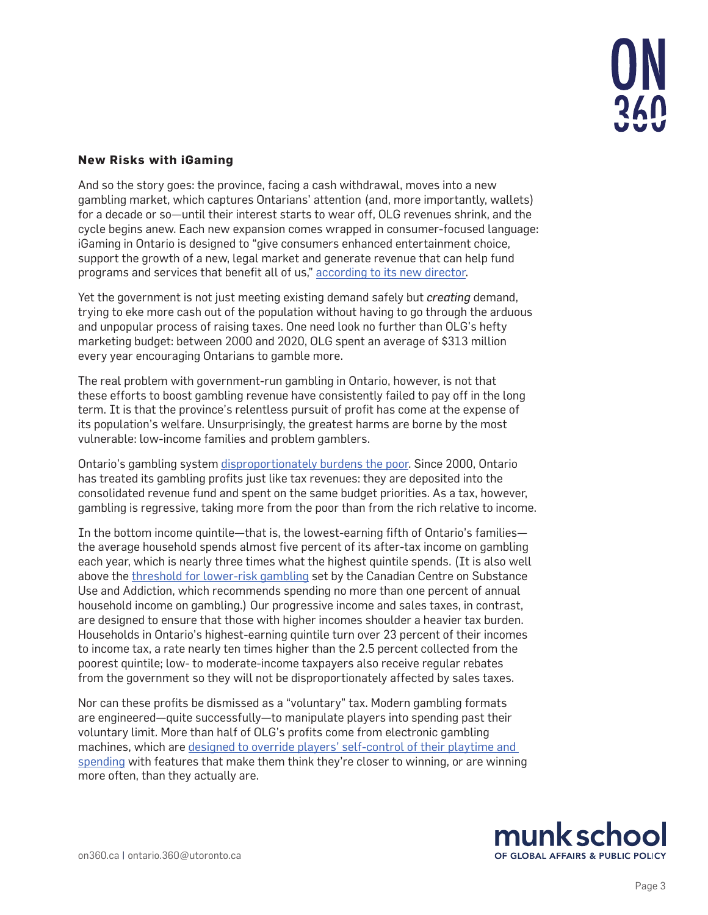

# **New Risks with iGaming**

And so the story goes: the province, facing a cash withdrawal, moves into a new gambling market, which captures Ontarians' attention (and, more importantly, wallets) for a decade or so—until their interest starts to wear off, OLG revenues shrink, and the cycle begins anew. Each new expansion comes wrapped in consumer-focused language: iGaming in Ontario is designed to "give consumers enhanced entertainment choice, support the growth of a new, legal market and generate revenue that can help fund programs and services that benefit all of us," [according to its new director.](https://igamingontario.ca/en/news/ontarios-new-igaming-market-launch-april-4-2022)

Yet the government is not just meeting existing demand safely but *creating* demand, trying to eke more cash out of the population without having to go through the arduous and unpopular process of raising taxes. One need look no further than OLG's hefty marketing budget: between 2000 and 2020, OLG spent an average of \$313 million every year encouraging Ontarians to gamble more.

The real problem with government-run gambling in Ontario, however, is not that these efforts to boost gambling revenue have consistently failed to pay off in the long term. It is that the province's relentless pursuit of profit has come at the expense of its population's welfare. Unsurprisingly, the greatest harms are borne by the most vulnerable: low-income families and problem gamblers.

Ontario's gambling system [disproportionately burdens the poor](https://www.cardus.ca/research/work-economics/reports/pressing-its-luck/). Since 2000, Ontario has treated its gambling profits just like tax revenues: they are deposited into the consolidated revenue fund and spent on the same budget priorities. As a tax, however, gambling is regressive, taking more from the poor than from the rich relative to income.

In the bottom income quintile—that is, the lowest-earning fifth of Ontario's families the average household spends almost five percent of its after-tax income on gambling each year, which is nearly three times what the highest quintile spends. (It is also well above the [threshold for lower-risk gambling](https://gamblingguidelines.ca/lower-risk-gambling-guidelines/what-are-the-guidelines/) set by the Canadian Centre on Substance Use and Addiction, which recommends spending no more than one percent of annual household income on gambling.) Our progressive income and sales taxes, in contrast, are designed to ensure that those with higher incomes shoulder a heavier tax burden. Households in Ontario's highest-earning quintile turn over 23 percent of their incomes to income tax, a rate nearly ten times higher than the 2.5 percent collected from the poorest quintile; low- to moderate-income taxpayers also receive regular rebates from the government so they will not be disproportionately affected by sales taxes.

Nor can these profits be dismissed as a "voluntary" tax. Modern gambling formats are engineered—quite successfully—to manipulate players into spending past their voluntary limit. More than half of OLG's profits come from electronic gambling machines, which are [designed to override players' self-control of their playtime and](https://www.cardus.ca/research/work-economics/reports/turning-aces-into-assets/)  [spending](https://www.cardus.ca/research/work-economics/reports/turning-aces-into-assets/) with features that make them think they're closer to winning, or are winning more often, than they actually are.

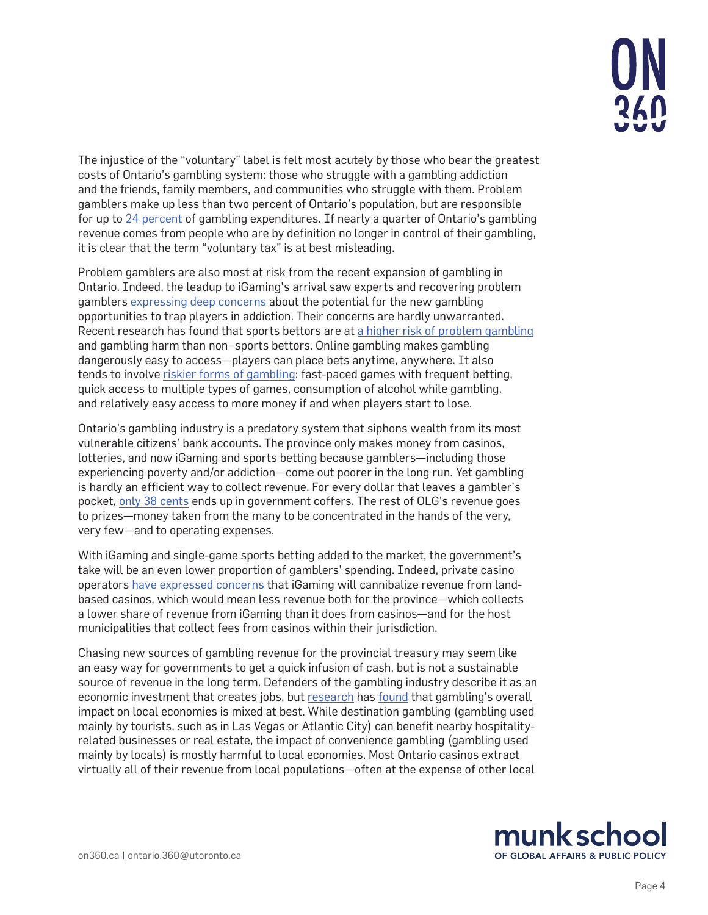

The injustice of the "voluntary" label is felt most acutely by those who bear the greatest costs of Ontario's gambling system: those who struggle with a gambling addiction and the friends, family members, and communities who struggle with them. Problem gamblers make up less than two percent of Ontario's population, but are responsible for up to [24 percent](https://www.responsiblegambling.org/wp-content/uploads/whats-the-problem-with-problem-gambling-.pdf) of gambling expenditures. If nearly a quarter of Ontario's gambling revenue comes from people who are by definition no longer in control of their gambling, it is clear that the term "voluntary tax" is at best misleading.

Problem gamblers are also most at risk from the recent expansion of gambling in Ontario. Indeed, the leadup to iGaming's arrival saw experts and recovering problem gamblers [expressing](https://www.cbc.ca/news/canada/windsor/igaming-ontario-gambling-addiction-1.6373413) [deep](https://globalnews.ca/news/8769633/single-sports-betting-ontario-pitfalls/) [concerns](https://www.macleans.ca/society/ontarios-online-betting-boom-makes-it-hard-to-be-a-recovered-gambling-addict/) about the potential for the new gambling opportunities to trap players in addiction. Their concerns are hardly unwarranted. Recent research has found that sports bettors are at [a higher risk of problem gambling](https://link.springer.com/article/10.1007/s10899-021-10025-2) and gambling harm than non–sports bettors. Online gambling makes gambling dangerously easy to access—players can place bets anytime, anywhere. It also tends to involve [riskier forms of gambling](https://gamblingguidelines.ca/lower-risk-gambling-guidelines/what-are-the-guidelines/): fast-paced games with frequent betting, quick access to multiple types of games, consumption of alcohol while gambling, and relatively easy access to more money if and when players start to lose.

Ontario's gambling industry is a predatory system that siphons wealth from its most vulnerable citizens' bank accounts. The province only makes money from casinos, lotteries, and now iGaming and sports betting because gamblers—including those experiencing poverty and/or addiction—come out poorer in the long run. Yet gambling is hardly an efficient way to collect revenue. For every dollar that leaves a gambler's pocket, [only 38 cents](https://www.cardus.ca/research/work-economics/reports/turning-aces-into-assets/) ends up in government coffers. The rest of OLG's revenue goes to prizes—money taken from the many to be concentrated in the hands of the very, very few—and to operating expenses.

With iGaming and single-game sports betting added to the market, the government's take will be an even lower proportion of gamblers' spending. Indeed, private casino operators [have expressed concerns](https://www.cbc.ca/news/canada/toronto/ontario-casino-revenue-government-1.6316064) that iGaming will cannibalize revenue from landbased casinos, which would mean less revenue both for the province—which collects a lower share of revenue from iGaming than it does from casinos—and for the host municipalities that collect fees from casinos within their jurisdiction.

Chasing new sources of gambling revenue for the provincial treasury may seem like an easy way for governments to get a quick infusion of cash, but is not a sustainable source of revenue in the long term. Defenders of the gambling industry describe it as an economic investment that creates jobs, but [research](https://jgi.camh.net/index.php/jgi/article/view/4063/4514/) has [found](https://prism.ucalgary.ca/handle/1880/48495) that gambling's overall impact on local economies is mixed at best. While destination gambling (gambling used mainly by tourists, such as in Las Vegas or Atlantic City) can benefit nearby hospitalityrelated businesses or real estate, the impact of convenience gambling (gambling used mainly by locals) is mostly harmful to local economies. Most Ontario casinos extract virtually all of their revenue from local populations—often at the expense of other local

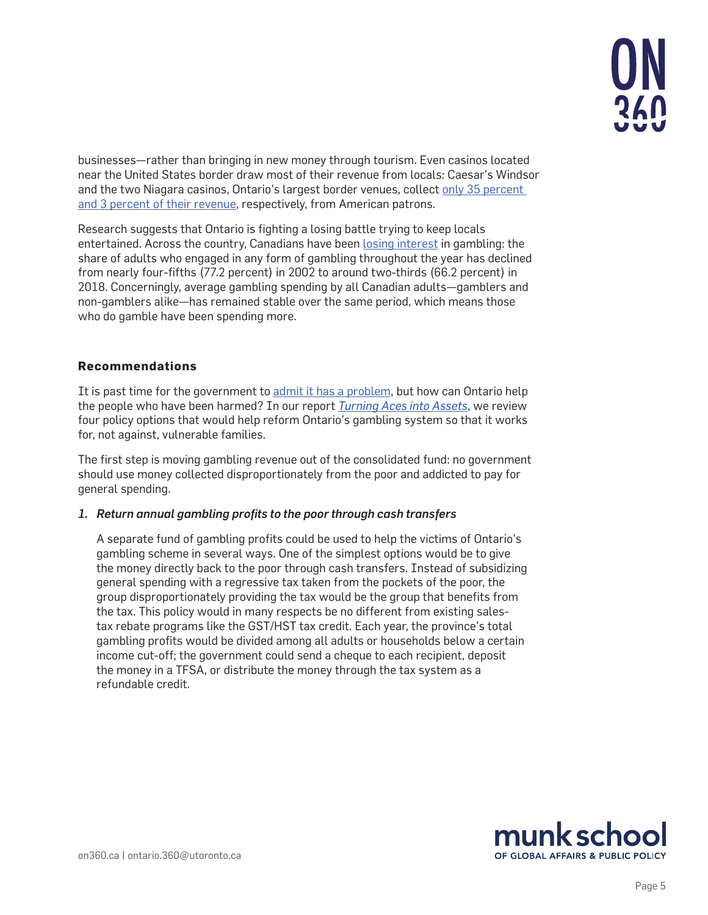

businesses—rather than bringing in new money through tourism. Even casinos located near the United States border draw most of their revenue from locals: Caesar's Windsor and the two Niagara casinos, Ontario's largest border venues, collect only 35 percent [and 3 percent of their revenue](https://about.olg.ca/wp-content/uploads/2018/11/OLGAnnualReport-2017-18-en.pdf), respectively, from American patrons.

Research suggests that Ontario is fighting a losing battle trying to keep locals entertained. Across the country, Canadians have been [losing interest](https://www.ncbi.nlm.nih.gov/pmc/articles/PMC8107954/) in gambling: the share of adults who engaged in any form of gambling throughout the year has declined from nearly four-fifths (77.2 percent) in 2002 to around two-thirds (66.2 percent) in 2018. Concerningly, average gambling spending by all Canadian adults—gamblers and non-gamblers alike—has remained stable over the same period, which means those who do gamble have been spending more.

# **Recommendations**

It is past time for the government to [admit it has a problem](http://www.gamblersanonymous.org/ga/content/recovery-program), but how can Ontario help the people who have been harmed? In our report *[Turning Aces into Assets](https://www.cardus.ca/research/work-economics/reports/turning-aces-into-assets/)*, we review four policy options that would help reform Ontario's gambling system so that it works for, not against, vulnerable families.

The first step is moving gambling revenue out of the consolidated fund: no government should use money collected disproportionately from the poor and addicted to pay for general spending.

### *1. Return annual gambling profits to the poor through cash transfers*

A separate fund of gambling profits could be used to help the victims of Ontario's gambling scheme in several ways. One of the simplest options would be to give the money directly back to the poor through cash transfers. Instead of subsidizing general spending with a regressive tax taken from the pockets of the poor, the group disproportionately providing the tax would be the group that benefits from the tax. This policy would in many respects be no different from existing salestax rebate programs like the GST/HST tax credit. Each year, the province's total gambling profits would be divided among all adults or households below a certain income cut-off; the government could send a cheque to each recipient, deposit the money in a TFSA, or distribute the money through the tax system as a refundable credit.

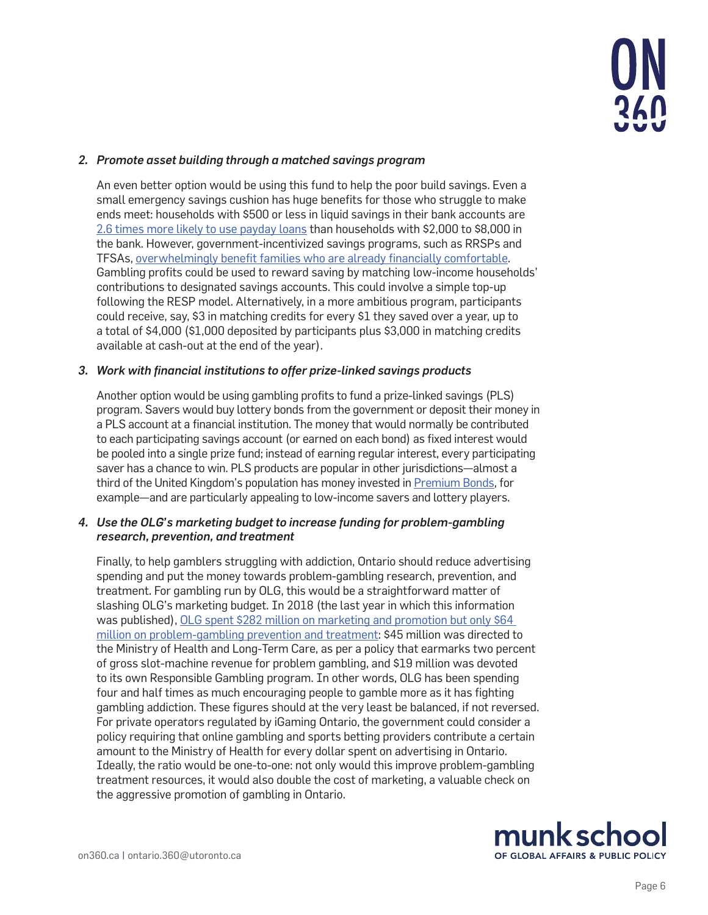

### *2. Promote asset building through a matched savings program*

An even better option would be using this fund to help the poor build savings. Even a small emergency savings cushion has huge benefits for those who struggle to make ends meet: households with \$500 or less in liquid savings in their bank accounts are [2.6 times more likely to use payday loans](https://www.cardus.ca/research/work-economics/reports/banking-on-the-margins/) than households with \$2,000 to \$8,000 in the bank. However, government-incentivized savings programs, such as RRSPs and TFSAs, [overwhelmingly benefit families who are already financially comfortable](https://maytree.com/wp-content/uploads/Canada_Savers_Credit.pdf). Gambling profits could be used to reward saving by matching low-income households' contributions to designated savings accounts. This could involve a simple top-up following the RESP model. Alternatively, in a more ambitious program, participants could receive, say, \$3 in matching credits for every \$1 they saved over a year, up to a total of \$4,000 (\$1,000 deposited by participants plus \$3,000 in matching credits available at cash-out at the end of the year).

### *3. Work with financial institutions to offer prize-linked savings products*

Another option would be using gambling profits to fund a prize-linked savings (PLS) program. Savers would buy lottery bonds from the government or deposit their money in a PLS account at a financial institution. The money that would normally be contributed to each participating savings account (or earned on each bond) as fixed interest would be pooled into a single prize fund; instead of earning regular interest, every participating saver has a chance to win. PLS products are popular in other jurisdictions—almost a third of the United Kingdom's population has money invested in [Premium Bonds,](https://www.nsandi.com/products/premium-bonds) for example—and are particularly appealing to low-income savers and lottery players.

### *4. Use the OLG's marketing budget to increase funding for problem-gambling research, prevention, and treatment*

Finally, to help gamblers struggling with addiction, Ontario should reduce advertising spending and put the money towards problem-gambling research, prevention, and treatment. For gambling run by OLG, this would be a straightforward matter of slashing OLG's marketing budget. In 2018 (the last year in which this information was published), OLG spent \$282 million on marketing and promotion but only \$64 [million on problem-gambling prevention and treatment](https://about.olg.ca/wp-content/uploads/2018/11/OLGAnnualReport-2017-18-en.pdf): \$45 million was directed to the Ministry of Health and Long-Term Care, as per a policy that earmarks two percent of gross slot-machine revenue for problem gambling, and \$19 million was devoted to its own Responsible Gambling program. In other words, OLG has been spending four and half times as much encouraging people to gamble more as it has fighting gambling addiction. These figures should at the very least be balanced, if not reversed. For private operators regulated by iGaming Ontario, the government could consider a policy requiring that online gambling and sports betting providers contribute a certain amount to the Ministry of Health for every dollar spent on advertising in Ontario. Ideally, the ratio would be one-to-one: not only would this improve problem-gambling treatment resources, it would also double the cost of marketing, a valuable check on the aggressive promotion of gambling in Ontario.